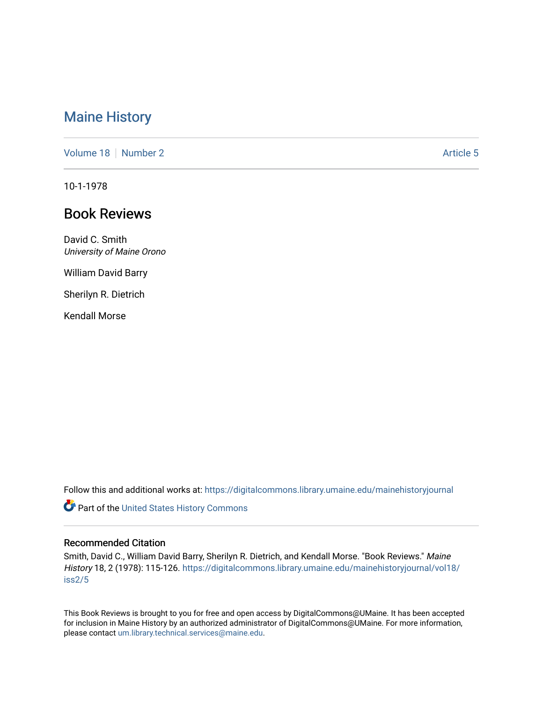# [Maine History](https://digitalcommons.library.umaine.edu/mainehistoryjournal)

[Volume 18](https://digitalcommons.library.umaine.edu/mainehistoryjournal/vol18) [Number 2](https://digitalcommons.library.umaine.edu/mainehistoryjournal/vol18/iss2) Article 5

10-1-1978

# Book Reviews

David C. Smith University of Maine Orono

William David Barry

Sherilyn R. Dietrich

Kendall Morse

Follow this and additional works at: [https://digitalcommons.library.umaine.edu/mainehistoryjournal](https://digitalcommons.library.umaine.edu/mainehistoryjournal?utm_source=digitalcommons.library.umaine.edu%2Fmainehistoryjournal%2Fvol18%2Fiss2%2F5&utm_medium=PDF&utm_campaign=PDFCoverPages) 

Part of the [United States History Commons](http://network.bepress.com/hgg/discipline/495?utm_source=digitalcommons.library.umaine.edu%2Fmainehistoryjournal%2Fvol18%2Fiss2%2F5&utm_medium=PDF&utm_campaign=PDFCoverPages) 

#### Recommended Citation

Smith, David C., William David Barry, Sherilyn R. Dietrich, and Kendall Morse. "Book Reviews." Maine History 18, 2 (1978): 115-126. [https://digitalcommons.library.umaine.edu/mainehistoryjournal/vol18/](https://digitalcommons.library.umaine.edu/mainehistoryjournal/vol18/iss2/5?utm_source=digitalcommons.library.umaine.edu%2Fmainehistoryjournal%2Fvol18%2Fiss2%2F5&utm_medium=PDF&utm_campaign=PDFCoverPages) [iss2/5](https://digitalcommons.library.umaine.edu/mainehistoryjournal/vol18/iss2/5?utm_source=digitalcommons.library.umaine.edu%2Fmainehistoryjournal%2Fvol18%2Fiss2%2F5&utm_medium=PDF&utm_campaign=PDFCoverPages)

This Book Reviews is brought to you for free and open access by DigitalCommons@UMaine. It has been accepted for inclusion in Maine History by an authorized administrator of DigitalCommons@UMaine. For more information, please contact [um.library.technical.services@maine.edu.](mailto:um.library.technical.services@maine.edu)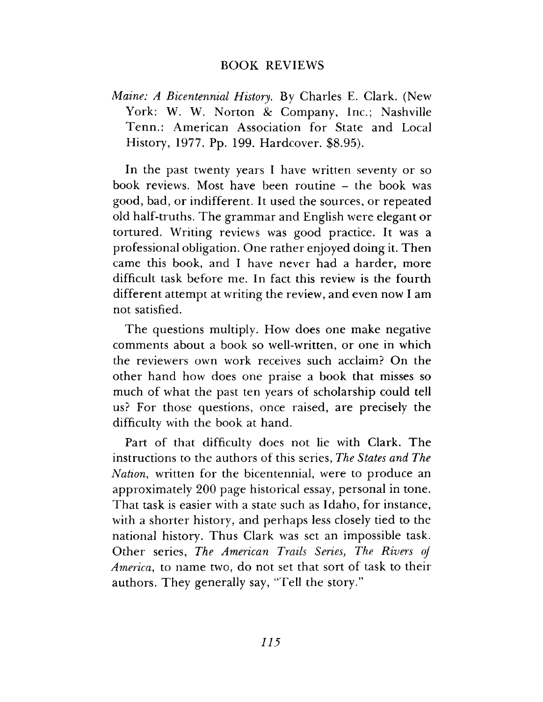### BOOK REVIEWS

*Maine: A Bicentennial History*. By Charles E. Clark. (New York: W. W. Norton *8c* Company, Inc.; Nashville Tenn.: American Association for State and Local History, 1977. Pp. 199. Hardcover. \$8.95).

In the past twenty years I have written seventy or so book reviews. Most have been routine – the book was good, bad, or indifferent. It used the sources, or repeated old half-truths. The grammar and English were elegant or tortured. Writing reviews was good practice. It was a professional obligation. One rather enjoyed doing it. Then came this book, and I have never had a harder, more difficult task before me. In fact this review is the fourth different attempt at writing the review, and even now I am not satisfied.

The questions multiply. How does one make negative comments about a book so well-written, or one in which the reviewers own work receives such acclaim? On the other hand how does one praise a book that misses so much of what the past ten years of scholarship could tell us? For those questions, once raised, are precisely the difficulty with the book at hand.

Part of that difficulty does not lie with Clark. The instructions to the authors of this series, *The States and The Nation*, written for the bicentennial, were to produce an approximately 200 page historical essay, personal in tone. That task is easier with a state such as Idaho, for instance, with a shorter history, and perhaps less closely tied to the national history. Thus Clark was set an impossible task. Other series, *The American Trails Series, The Rivers of America*, to name two, do not set that sort of task to their authors. They generally say, "Tell the story."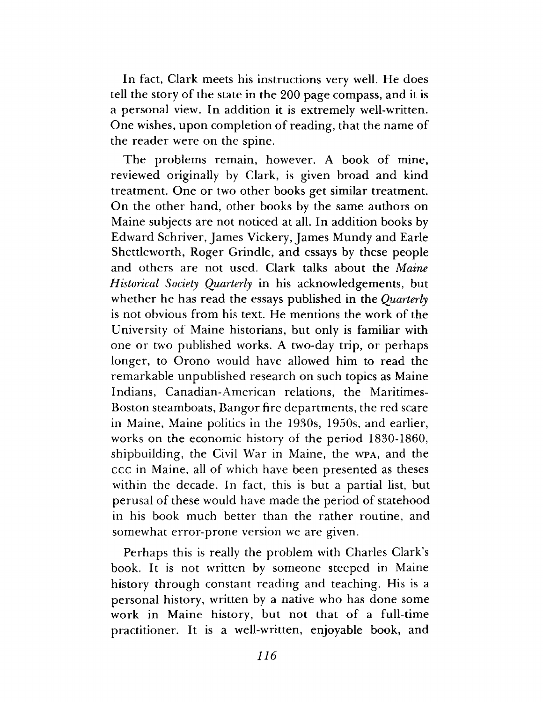In fact, Clark meets his instructions very well. He does tell the story of the state in the 200 page compass, and it is a personal view. In addition it is extremely well-written. One wishes, upon completion of reading, that the name of the reader were on the spine.

The problems remain, however. A book of mine, reviewed originally by Clark, is given broad and kind treatment. One or two other books get similar treatment. On the other hand, other books by the same authors on Maine subjects are not noticed at all. In addition books by Edward Schriver, James Vickery, James Mundy and Earle Shettleworth, Roger Grindle, and essays by these people and others are not used. Clark talks about the *Maine Historical Society Quarterly* in his acknowledgements, but whether he has read the essays published in the *Quarterly* is not obvious from his text. He mentions the work of the University of Maine historians, but only is familiar with one or two published works. A two-day trip, or perhaps longer, to Orono would have allowed him to read the remarkable unpublished research on such topics as Maine Indians, Canadian-American relations, the Maritimes-Boston steamboats, Bangor fire departments, the red scare in Maine, Maine politics in the 1930s, 1950s, and earlier, works on the economic history of the period 1830-1860, shipbuilding, the Civil War in Maine, the wpa, and the ccc in Maine, all of which have been presented as theses within the decade. In fact, this is but a partial list, but perusal of these would have made the period of statehood in his book much better than the rather routine, and somewhat error-prone version we are given.

Perhaps this is really the problem with Charles Clark's book. It is not written by someone steeped in Maine history through constant reading and teaching. His is a personal history, written by a native who has done some work in Maine history, but not that of a full-time practitioner. It is a well-written, enjoyable book, and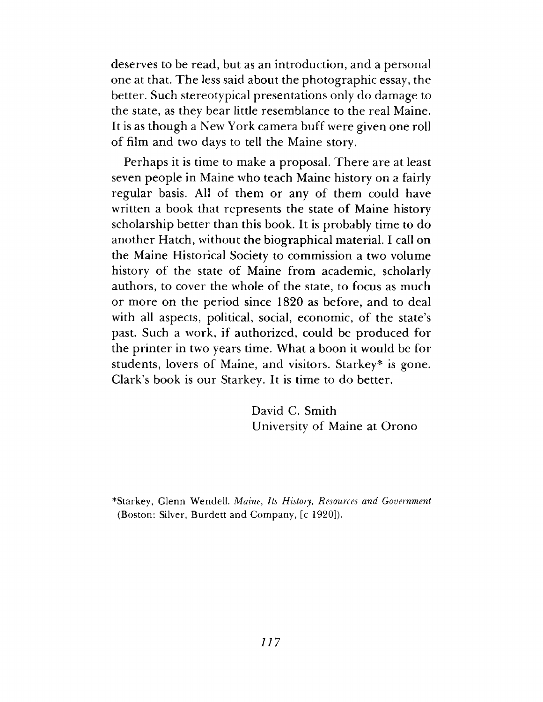deserves to be read, but as an introduction, and a personal one at that. The less said about the photographic essay, the better. Such stereotypical presentations only do damage to the state, as they bear little resemblance to the real Maine. It is as though a New York camera buff were given one roll of film and two days to tell the Maine story.

Perhaps it is time to make a proposal. There are at least seven people in Maine who teach Maine history on a fairly regular basis. All of them or any of them could have written a book that represents the state of Maine history scholarship better than this book. It is probably time to do another Hatch, without the biographical material. I call on the Maine Historical Society to commission a two volume history of the state of Maine from academic, scholarly authors, to cover the whole of the state, to focus as much or more on the period since 1820 as before, and to deal with all aspects, political, social, economic, of the state's past. Such a work, if authorized, could be produced for the printer in two years time. What a boon it would be for students, lovers of Maine, and visitors. Starkey\* is gone. Clark's book is our Starkey. It is time to do better.

> David C. Smith University of Maine at Orono

\*Starkey, G lenn W endell. *Maine, Its History, Resources and Government* (Boston: Silver, Burdett and Company, [c 1920]).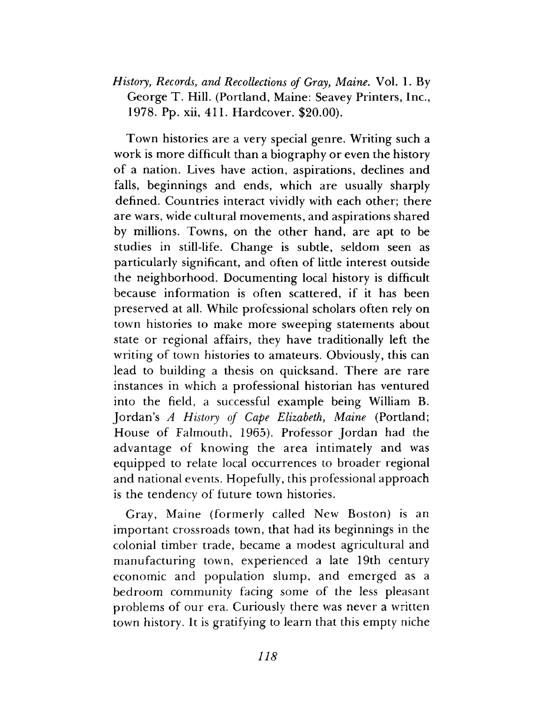# *History, Records, and Recollections of Gray, Maine.* Vol. 1. By George T. Hill. (Portland, Maine: Seavey Printers, Inc., 1978. Pp. xii, 411. Hardcover. \$20.00).

Town histories are a very special genre. Writing such a work is more difficult than a biography or even the history of a nation. Lives have action, aspirations, declines and falls, beginnings and ends, which are usually sharply defined. Countries interact vividly with each other; there are wars, wide cultural movements, and aspirations shared by millions. Towns, on the other hand, are apt to be studies in still-life. Change is subtle, seldom seen as particularly significant, and often of little interest outside the neighborhood. Documenting local history is difficult because information is often scattered, if it has been preserved at all. While professional scholars often rely on town histories to make more sweeping statements about state or regional affairs, they have traditionally left the writing of town histories to amateurs. Obviously, this can lead to building a thesis on quicksand. There are rare instances in which a professional historian has ventured into the field, a successful example being William B. Jordan's *A History of Cape Elizabeth, Maine* (Portland; House of Falmouth, 1965). Professor Jordan had the advantage of knowing the area intimately and was equipped to relate local occurrences to broader regional and national events. Hopefully, this professional approach is the tendency of future town histories.

Gray, Maine (formerly called New Boston) is an important crossroads town, that had its beginnings in the colonial timber trade, became a modest agricultural and manufacturing town, experienced a late 19th century economic and population slump, and emerged as a bedroom community facing some of the less pleasant problems of our era. Curiously there was never a written town history. It is gratifying to learn that this empty niche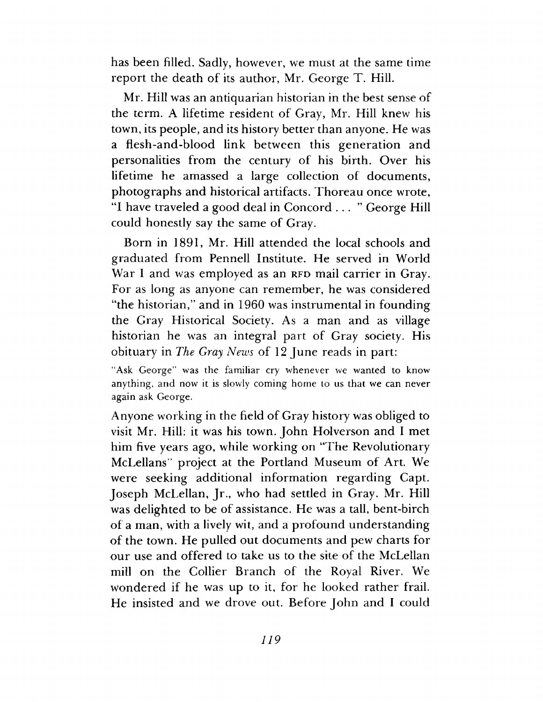has been filled. Sadly, however, we must at the same time report the death of its author, Mr. George T. Hill.

Mr. Hill was an antiquarian historian in the best sense of the term. A lifetime resident of Gray, Mr. Hill knew his town, its people, and its history better than anyone. He was a flesh-and-blood link between this generation and personalities from the century of his birth. Over his lifetime he amassed a large collection of documents, photographs and historical artifacts. Thoreau once wrote, "I have traveled a good deal in Concord ..." George Hill could honestly say the same of Gray.

Born in 1891, Mr. Hill attended the local schools and graduated from Pennell Institute. He served in World War I and was employed as an RFD mail carrier in Gray. For as long as anyone can remember, he was considered "the historian," and in 1960 was instrumental in founding the Gray Historical Society. As a man and as village historian he was an integral part of Gray society. His obituary in *The Gray News* of 12 June reads in part:

"Ask George" was the familiar cry whenever we wanted to know anything, and now it is slowly coming home to us that we can never again ask George.

Anyone working in the field of Gray history was obliged to visit Mr. Hill: it was his town. John Holverson and I met him five years ago, while working on "The Revolutionary McLellans" project at the Portland Museum of Art. We were seeking additional information regarding Capt. Joseph McLellan, Jr., who had settled in Gray. Mr. Hill was delighted to be of assistance. He was a tall, bent-birch of a man, with a lively wit, and a profound understanding of the town. He pulled out documents and pew charts for our use and offered to take us to the site of the McLellan mill on the Collier Branch of the Royal River. We wondered if he was up to it, for he looked rather frail. He insisted and we drove out. Before John and I could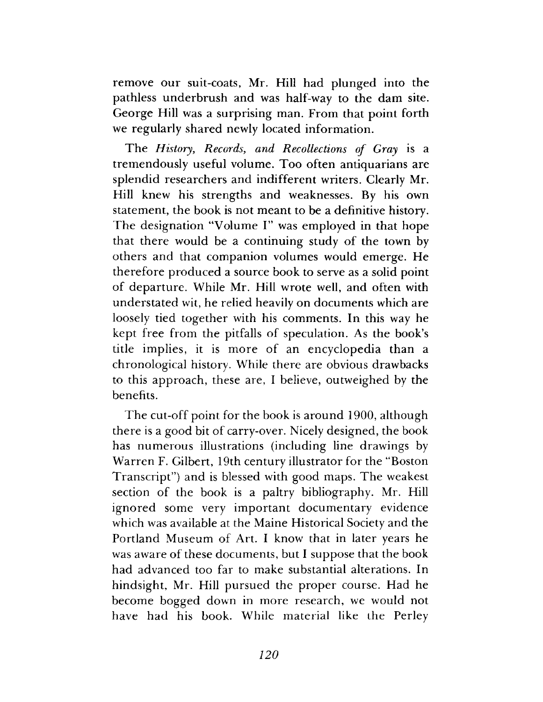remove our suit-coats, Mr. Hill had plunged into the pathless underbrush and was half-way to the dam site. George Hill was a surprising man. From that point forth we regularly shared newly located information.

The *History*, *Records*, *and Recollections of Gray* is a tremendously useful volume. Too often antiquarians are splendid researchers and indifferent writers. Clearly Mr. Hill knew his strengths and weaknesses. By his own statement, the book is not meant to be a definitive history. The designation "Volume I" was employed in that hope that there would be a continuing study of the town by others and that companion volumes would emerge. He therefore produced a source book to serve as a solid point of departure. While Mr. Hill wrote well, and often with understated wit, he relied heavily on documents which are loosely tied together with his comments. In this way he kept free from the pitfalls of speculation. As the book's title implies, it is more of an encyclopedia than a chronological history. While there are obvious drawbacks to this approach, these are, I believe, outweighed by the benefits.

The cut-off point for the book is around 1900, although there is a good bit of carry-over. Nicely designed, the book has numerous illustrations (including line drawings by Warren F. Gilbert, 19th century illustrator for the "Boston Transcript") and is blessed with good maps. The weakest section of the book is a paltry bibliography. Mr. Hill ignored some very important documentary evidence which was available at the Maine Historical Society and the Portland Museum of Art. I know that in later years he was aware of these documents, but I suppose that the book had advanced too far to make substantial alterations. In hindsight, Mr. Hill pursued the proper course. Had he become bogged down in more research, we would not have had his book. While material like the Perley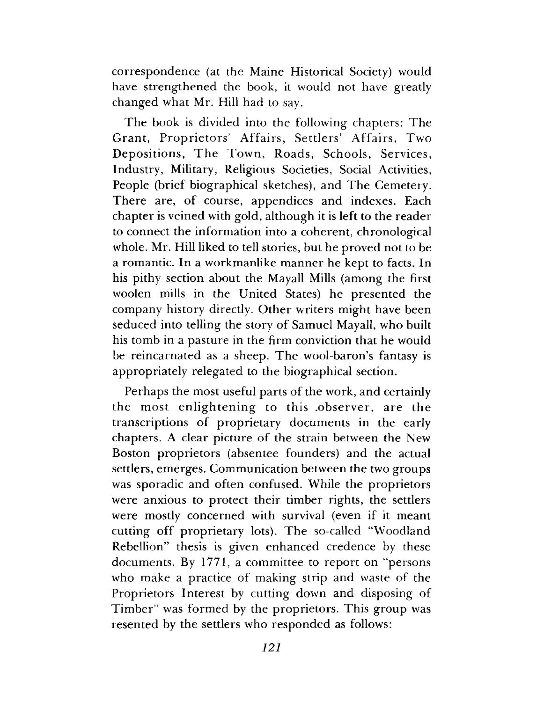correspondence (at the Maine Historical Society) would have strengthened the book, it would not have greatly changed what Mr. Hill had to say.

The book is divided into the following chapters: The Grant, Proprietors' Affairs, Settlers' Affairs, Two Depositions, The Town, Roads, Schools, Services, Industry, Military, Religious Societies, Social Activities, People (brief biographical sketches), and The Cemetery. There are, of course, appendices and indexes. Each chapter is veined with gold, although it is left to the reader to connect the information into a coherent, chronological whole. Mr. Hill liked to tell stories, but he proved not to be a romantic. In a workmanlike manner he kept to facts. In his pithy section about the Mayall Mills (among the first woolen mills in the United States) he presented the company history directly. Other writers might have been seduced into telling the story of Samuel Mayall, who built his tomb in a pasture in the firm conviction that he would be reincarnated as a sheep. The wool-baron's fantasy is appropriately relegated to the biographical section.

Perhaps the most useful parts of the work, and certainly the most enlightening to this .observer, are the transcriptions of proprietary documents in the early chapters. A clear picture of the strain between the New Boston proprietors (absentee founders) and the actual settlers, emerges. Communication between the two groups was sporadic and often confused. While the proprietors were anxious to protect their timber rights, the settlers were mostly concerned with survival (even if it meant cutting off proprietary lots). The so-called "Woodland Rebellion" thesis is given enhanced credence by these documents. By 1771, a committee to report on "persons who make a practice of making strip and waste of the Proprietors Interest by cutting down and disposing of Timber" was formed by the proprietors. This group was resented by the settlers who responded as follows: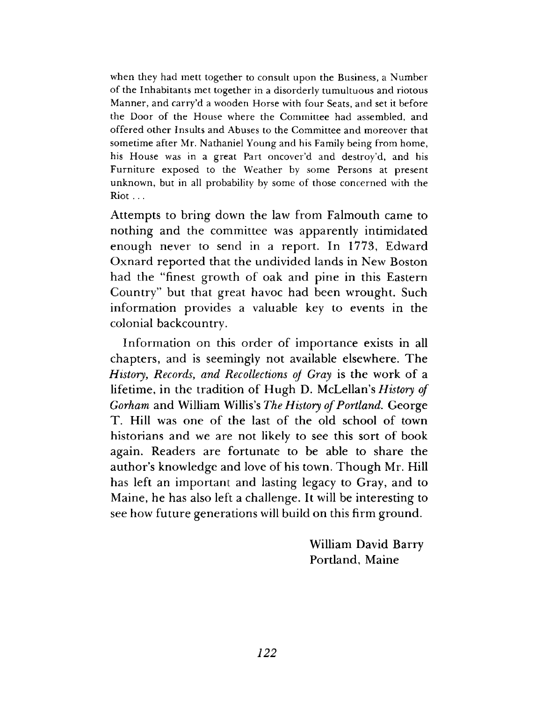when they had mett together to consult upon the Business, a Number of the Inhabitants met together in a disorderly tumultuous and riotous Manner, and carry'd a wooden Horse with four Seats, and set it before the Door of the House where the Committee had assembled, and offered other Insults and Abuses to the Committee and moreover that sometime after Mr. Nathaniel Young and his Family being from home, his House was in a great Part oncover'd and destroy'd, and his Furniture exposed to the Weather by some Persons at present unknown, but in all probability by some of those concerned with the Riot . . .

Attempts to bring down the law from Falmouth came to nothing and the committee was apparently intimidated enough never to send in a report. In 1773, Edward Oxnard reported that the undivided lands in New Boston had the "finest growth of oak and pine in this Eastern Country" but that great havoc had been wrought. Such information provides a valuable key to events in the colonial backcountry.

Information on this order of importance exists in all chapters, and is seemingly not available elsewhere. The *History, Records, and Recollections of Gray* is the work of a lifetime, in the tradition of Hugh D. McLellan's *History of Gorham* and William Willis's *The History of Portland.* George T. Hill was one of the last of the old school of town historians and we are not likely to see this sort of book again. Readers are fortunate to be able to share the author's knowledge and love of his town. Though Mr. Hill has left an important and lasting legacy to Gray, and to Maine, he has also left a challenge. It will be interesting to see how future generations will build on this firm ground.

> William David Barry Portland, Maine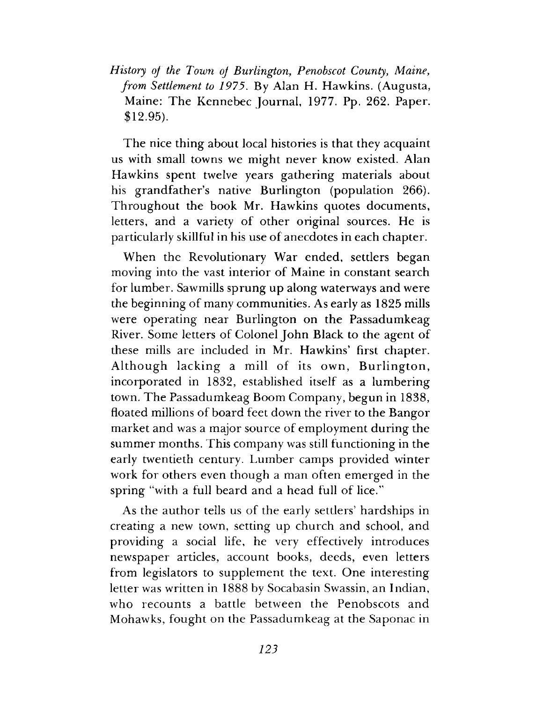*History of the Town of Burlington*, *Penobscot County, Maine, from Settlement to 1975.* By Alan H. Hawkins. (Augusta, Maine: The Kennebec Journal, 1977. Pp. 262. Paper. \$12.95).

The nice thing about local histories is that they acquaint us with small towns we might never know existed. Alan Hawkins spent twelve years gathering materials about his grandfather's native Burlington (population 266). Throughout the book Mr. Hawkins quotes documents, letters, and a variety of other original sources. He is particularly skillful in his use of anecdotes in each chapter.

When the Revolutionary War ended, settlers began moving into the vast interior of Maine in constant search for lumber. Sawmills sprung up along waterways and were the beginning of many communities. As early as 1825 mills were operating near Burlington on the Passadumkeag River. Some letters of Colonel John Black to the agent of these mills are included in Mr. Hawkins' first chapter. Although lacking a mill of its own, Burlington, incorporated in 1832, established itself as a lumbering town. The Passadumkeag Boom Company, begun in 1838, floated millions of board feet down the river to the Bangor market and was a major source of employment during the summer months. This company was still functioning in the early twentieth century. Lumber camps provided winter work for others even though a man often emerged in the spring "with a full beard and a head full of lice."

As the author tells us of the early settlers' hardships in creating a new town, setting up church and school, and providing a social life, he very effectively introduces newspaper articles, account books, deeds, even letters from legislators to supplement the text. One interesting letter was written in 1888 by Socabasin Swassin, an Indian, who recounts a battle between the Penobscots and Mohawks, fought on the Passadumkeag at the Saponac in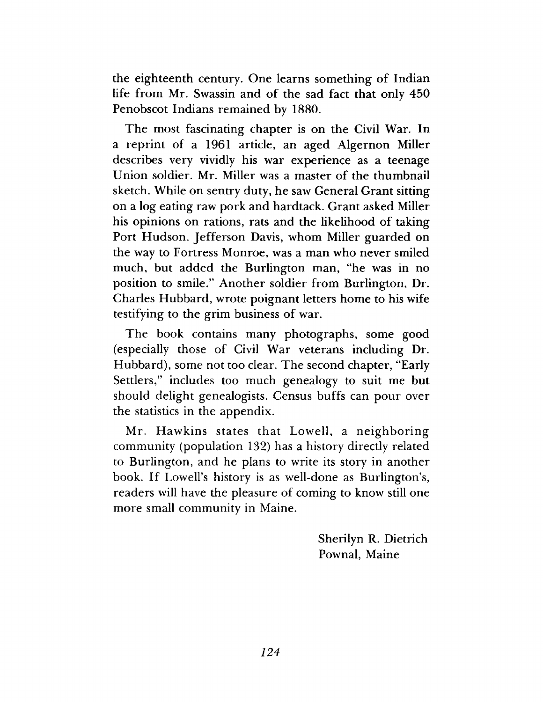the eighteenth century. One learns something of Indian life from Mr. Swassin and of the sad fact that only 450 Penobscot Indians remained by 1880.

The most fascinating chapter is on the Civil War. In a reprint of a 1961 article, an aged Algernon Miller describes very vividly his war experience as a teenage Union soldier. Mr. Miller was a master of the thumbnail sketch. While on sentry duty, he saw General Grant sitting on a log eating raw pork and hardtack. Grant asked Miller his opinions on rations, rats and the likelihood of taking Port Hudson. Jefferson Davis, whom Miller guarded on the way to Fortress Monroe, was a man who never smiled much, but added the Burlington man, "he was in no position to smile." Another soldier from Burlington, Dr. Charles Hubbard, wrote poignant letters home to his wife testifying to the grim business of war.

The book contains many photographs, some good (especially those of Civil War veterans including Dr. Hubbard), some not too clear. The second chapter, "Early Settlers," includes too much genealogy to suit me but should delight genealogists. Census buffs can pour over the statistics in the appendix.

Mr. Hawkins states that Lowell, a neighboring community (population 132) has a history directly related to Burlington, and he plans to write its story in another book. If Lowell's history is as well-done as Burlington's, readers will have the pleasure of coming to know still one more small community in Maine.

> Sherilyn R. Dietrich Pownal, Maine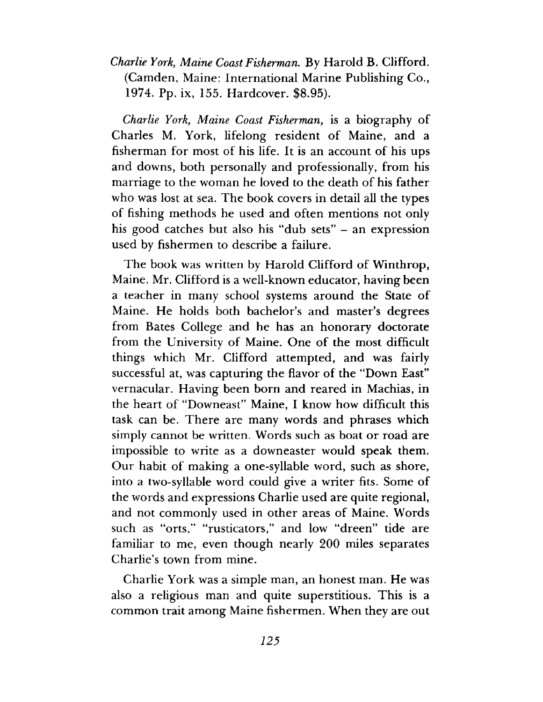*Charlie York*, *Maine Coast Fisherman.* By Harold B. Clifford. (Camden, Maine: International Marine Publishing Co., 1974. Pp. ix, 155. Hardcover. \$8.95).

*Charlie York*, *Maine Coast Fisherman*, is a biography of Charles M. York, lifelong resident of Maine, and a fisherman for most of his life. It is an account of his ups and downs, both personally and professionally, from his marriage to the woman he loved to the death of his father who was lost at sea. The book covers in detail all the types of fishing methods he used and often mentions not only his good catches but also his "dub sets" - an expression used by fishermen to describe a failure.

The book was written by Harold Clifford of Winthrop, Maine. Mr. Clifford is a well-known educator, having been a teacher in many school systems around the State of Maine. He holds both bachelor's and master's degrees from Bates College and he has an honorary doctorate from the University of Maine. One of the most difficult things which Mr. Clifford attempted, and was fairly successful at, was capturing the flavor of the "Down East" vernacular. Having been born and reared in Machias, in the heart of "Downeast" Maine, I know how difficult this task can be. There are many words and phrases which simply cannot be written. Words such as boat or road are impossible to write as a downeaster would speak them. Our habit of making a one-syllable word, such as shore, into a two-syllable word could give a writer fits. Some of the words and expressions Charlie used are quite regional, and not commonly used in other areas of Maine. Words such as "orts," "rusticators," and low "dreen" tide are familiar to me, even though nearly 200 miles separates Charlie's town from mine.

Charlie York was a simple man, an honest man. He was also a religious man and quite superstitious. This is a common trait among Maine fishermen. When they are out